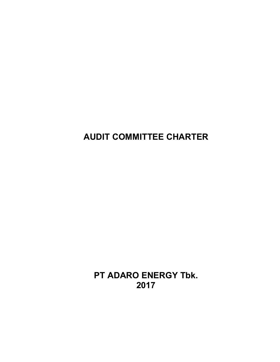**AUDIT COMMITTEE CHARTER** 

**PT ADARO ENERGY Tbk. 2017**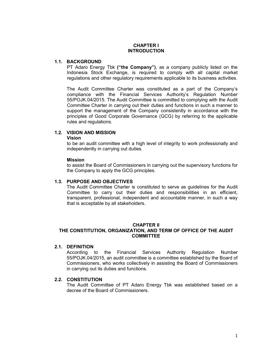### **CHAPTER I INTRODUCTION**

### **1.1. BACKGROUND**

 PT Adaro Energy Tbk **("the Company")**, as a company publicly listed on the Indonesia Stock Exchange, is required to comply with all capital market regulations and other regulatory requirements applicable to its business activities.

The Audit Committee Charter was constituted as a part of the Company's compliance with the Financial Services Authority's Regulation Number 55/POJK.04/2015. The Audit Committee is committed to complying with the Audit Committee Charter in carrying out their duties and functions in such a manner to support the management of the Company consistently in accordance with the principles of Good Corporate Governance (GCG) by referring to the applicable rules and regulations.

# **1.2. VISION AND MISSION**

#### **Vision**

to be an audit committee with a high level of integrity to work professionally and independently in carrying out duties.

### **Mission**

 to assist the Board of Commissioners in carrying out the supervisory functions for the Company to apply the GCG principles.

### **1.3. PURPOSE AND OBJECTIVES**

The Audit Committee Charter is constituted to serve as guidelines for the Audit Committee to carry out their duties and responsibilities in an efficient, transparent, professional, independent and accountable manner, in such a way that is acceptable by all stakeholders.

#### **CHAPTER II**

## **THE CONSTITUTION, ORGANIZATION, AND TERM OF OFFICE OF THE AUDIT COMMITTEE**

### **2.1. DEFINITION**

According to the Financial Services Authority Regulation Number 55/POJK.04/2015, an audit committee is a committee established by the Board of Commissioners, who works collectively in assisting the Board of Commissioners in carrying out its duties and functions.

### **2.2. CONSTITUTION**

The Audit Committee of PT Adaro Energy Tbk was established based on a decree of the Board of Commissioners.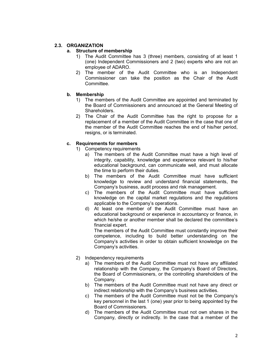## **2.3. ORGANIZATION**

## **a. Structure of membership**

- 1) The Audit Committee has 3 (three) members, consisting of at least 1 (one) Independent Commissioners and 2 (two) experts who are not an employee of ADARO.
- 2) The member of the Audit Committee who is an Independent Commissioner can take the position as the Chair of the Audit Committee.

## **b. Membership**

- 1) The members of the Audit Committee are appointed and terminated by the Board of Commissioners and announced at the General Meeting of Shareholders.
- 2) The Chair of the Audit Committee has the right to propose for a replacement of a member of the Audit Committee in the case that one of the member of the Audit Committee reaches the end of his/her period, resigns, or is terminated.

## **c. Requirements for members**

- 1) Competency requirements
	- a) The members of the Audit Committee must have a high level of integrity, capability, knowledge and experience relevant to his/her educational background, can communicate well, and must allocate the time to perform their duties.
	- b) The members of the Audit Committee must have sufficient knowledge to review and understand financial statements, the Company's business, audit process and risk management.
	- c) The members of the Audit Committee must have sufficient knowledge on the capital market regulations and the regulations applicable to the Company's operations.
	- d) At least one member of the Audit Committee must have an educational background or experience in accountancy or finance, in which he/she or another member shall be declared the committee's financial expert.

The members of the Audit Committee must constantly improve their competence, including to build better understanding on the Company's activities in order to obtain sufficient knowledge on the Company's activities.

- 2) Independency requirements
	- a) The members of the Audit Committee must not have any affiliated relationship with the Company, the Company's Board of Directors, the Board of Commissioners, or the controlling shareholders of the Company.
	- b) The members of the Audit Committee must not have any direct or indirect relationship with the Company's business activities.
	- c) The members of the Audit Committee must not be the Company's key personnel in the last 1 (one) year prior to being appointed by the Board of Commissioners.
	- d) The members of the Audit Committee must not own shares in the Company, directly or indirectly. In the case that a member of the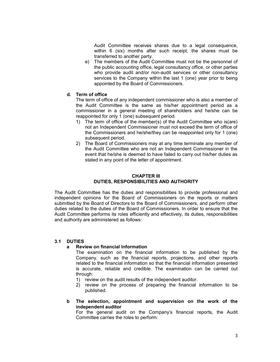Audit Committee receives shares due to a legal consequence, within 6 (six) months after such receipt, the shares must be transferred to another party.

e) The members of the Audit Committee must not be the personnel of the public accounting office, legal consultancy office, or other parties who provide audit and/or non-audit services or other consultancy services to the Company within the last 1 (one) year prior to being appointed by the Board of Commissioners.

### **d. Term of office**

The term of office of any independent commissioner who is also a member of the Audit Committee is the same as his/her appointment period as a commissioner in a general meeting of shareholders and he/she can be reappointed for only 1 (one) subsequent period.

- 1) The term of office of the member(s) of the Audit Committee who is(are) not an Independent Commissioner must not exceed the term of office of the Commissioners and he/she/they can be reappointed only for 1 (one) subsequent period.
- 2) The Board of Commissioners may at any time terminate any member of the Audit Committee who are not an Independent Commissioner in the event that he/she is deemed to have failed to carry out his/her duties as stated in any point of the letter of appointment.

### **CHAPTER III DUTIES, RESPONSIBILITIES AND AUTHORITY**

The Audit Committee has the duties and responsibilities to provide professional and independent opinions for the Board of Commissioners on the reports or matters submitted by the Board of Directors to the Board of Commissioners, and perform other duties related to the duties of the Board of Commissioners. In order to ensure that the Audit Committee performs its roles efficiently and effectively, its duties, responsibilities and authority are administered as follows:

### **3.1 DUTIES**

### **a Review on financial information**

The examination on the financial information to be published by the Company, such as the financial reports, projections, and other reports related to the financial information so that the financial information presented is accurate, reliable and credible. The examination can be carried out through:

- 1) review on the audit results of the independent auditor.
- 2) review on the process of preparing the financial information to be published.
- **b The selection, appointment and supervision on the work of the independent auditor**

For the general audit on the Company's financial reports, the Audit Committee carries the roles to perform: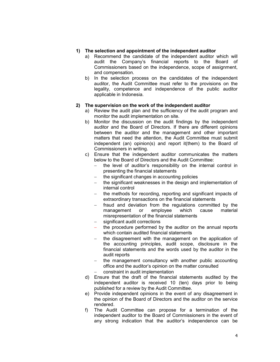### **1) The selection and appointment of the independent auditor**

- a) Recommend the candidate of the independent auditor which will audit the Company's financial reports to the Board of Commissioners based on the independence, scope of assignment, and compensation.
- b) In the selection process on the candidates of the independent auditor, the Audit Committee must refer to the provisions on the legality, competence and independence of the public auditor applicable in Indonesia.

### **2) The supervision on the work of the independent auditor**

- a) Review the audit plan and the sufficiency of the audit program and monitor the audit implementation on site.
- b) Monitor the discussion on the audit findings by the independent auditor and the Board of Directors. If there are different opinions between the auditor and the management and other important matters that need the attention, the Audit Committee must submit independent (an) opinion(s) and report it(them) to the Board of Commissioners in writing.
- c) Ensure that the independent auditor communicates the matters below to the Board of Directors and the Audit Committee:
	- − the level of auditor's responsibility on the internal control in presenting the financial statements
	- − the significant changes in accounting policies
	- − the significant weaknesses in the design and implementation of internal control
	- − the methods for recording, reporting and significant impacts of extraordinary transactions on the financial statements
	- − fraud and deviation from the regulations committed by the management or employee which cause material misrepresentation of the financial statements
	- significant audit corrections
	- the procedure performed by the auditor on the annual reports which contain audited financial statements
	- − the disagreement with the management on the application of the accounting principles, audit scope, disclosure in the financial statements and the words used by the auditor in the audit reports
	- the management consultancy with another public accounting office and the auditor's opinion on the matter consulted
	- − constraint in audit implementation
- d) Ensure that the draft of the financial statements audited by the independent auditor is received 10 (ten) days prior to being published for a review by the Audit Committee.
- e) Provide independent opinions in the event of any disagreement in the opinion of the Board of Directors and the auditor on the service rendered.
- f) The Audit Committee can propose for a termination of the independent auditor to the Board of Commissioners in the event of any strong indication that the auditor's independence can be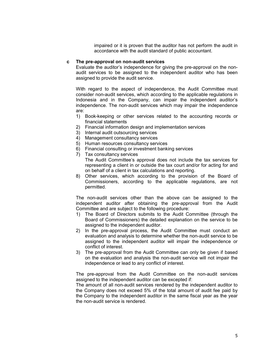impaired or it is proven that the auditor has not perform the audit in accordance with the audit standard of public accountant.

#### **c The pre-approval on non-audit services**

Evaluate the auditor's independence for giving the pre-approval on the nonaudit services to be assigned to the independent auditor who has been assigned to provide the audit service.

With regard to the aspect of independence, the Audit Committee must consider non-audit services, which according to the applicable regulations in Indonesia and in the Company, can impair the independent auditor's independence. The non-audit services which may impair the independence are:

- 1) Book-keeping or other services related to the accounting records or financial statements
- 2) Financial information design and implementation services
- 3) Internal audit outsourcing services
- 4) Management consultancy services
- 5) Human resources consultancy services
- 6) Financial consulting or investment banking services
- 7) Tax consultancy services The Audit Committee's approval does not include the tax services for representing a client in or outside the tax court and/or for acting for and on behalf of a client in tax calculations and reporting.
- 8) Other services, which according to the provision of the Board of Commissioners, according to the applicable regulations, are not permitted.

The non-audit services other than the above can be assigned to the independent auditor after obtaining the pre-approval from the Audit Committee and are subject to the following procedure:

- 1) The Board of Directors submits to the Audit Committee (through the Board of Commissioners) the detailed explanation on the service to be assigned to the independent auditor.
- 2) In the pre-approval process, the Audit Committee must conduct an evaluation and analysis to determine whether the non-audit service to be assigned to the independent auditor will impair the independence or conflict of interest.
- 3) The pre-approval from the Audit Committee can only be given if based on the evaluation and analysis the non-audit service will not impair the independence or lead to any conflict of interest.

The pre-approval from the Audit Committee on the non-audit services assigned to the independent auditor can be excepted if:

The amount of all non-audit services rendered by the independent auditor to the Company does not exceed 5% of the total amount of audit fee paid by the Company to the independent auditor in the same fiscal year as the year the non-audit service is rendered.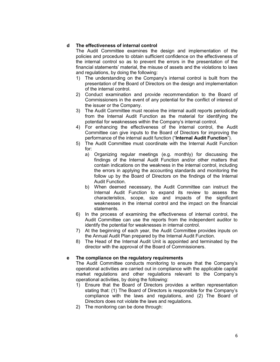## **d The effectiveness of internal control**

The Audit Committee examines the design and implementation of the policies and procedure to obtain sufficient confidence on the effectiveness of the internal control so as to prevent the errors in the presentation of the financial statements' material, the misuse of assets and the violations to laws and regulations, by doing the following:

- 1) The understanding on the Company's internal control is built from the presentation of the Board of Directors on the design and implementation of the internal control.
- 2) Conduct examination and provide recommendation to the Board of Commissioners in the event of any potential for the conflict of interest of the issuer or the Company.
- 3) The Audit Committee must receive the internal audit reports periodically from the Internal Audit Function as the material for identifying the potential for weaknesses within the Company's internal control.
- 4) For enhancing the effectiveness of the internal control, the Audit Committee can give inputs to the Board of Directors for improving the performance of the internal audit function ("**Internal Audit Function**").
- 5) The Audit Committee must coordinate with the Internal Audit Function for:
	- a) Organizing regular meetings (e.g. monthly) for discussing the findings of the Internal Audit Function and/or other matters that contain indications on the weakness in the internal control, including the errors in applying the accounting standards and monitoring the follow up by the Board of Directors on the findings of the Internal Audit Function.
	- b) When deemed necessary, the Audit Committee can instruct the Internal Audit Function to expand its review to assess the characteristics, scope, size and impacts of the significant weaknesses in the internal control and the impact on the financial statements.
- 6) In the process of examining the effectiveness of internal control, the Audit Committee can use the reports from the independent auditor to identify the potential for weaknesses in internal control.
- 7) At the beginning of each year, the Audit Committee provides inputs on the Annual Audit Plan prepared by the Internal Audit Function.
- 8) The Head of the Internal Audit Unit is appointed and terminated by the director with the approval of the Board of Commissioners.

### **e The compliance on the regulatory requirements**

The Audit Committee conducts monitoring to ensure that the Company's operational activities are carried out in compliance with the applicable capital market regulations and other regulations relevant to the Company's operational activities, by doing the following:

- 1) Ensure that the Board of Directors provides a written representation stating that: (1) The Board of Directors is responsible for the Company's compliance with the laws and regulations, and (2) The Board of Directors does not violate the laws and regulations.
- 2) The monitoring can be done through: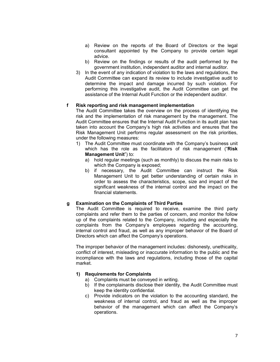- a) Review on the reports of the Board of Directors or the legal consultant appointed by the Company to provide certain legal advice.
- b) Review on the findings or results of the audit performed by the government institution, independent auditor and internal auditor.
- 3) In the event of any indication of violation to the laws and regulations, the Audit Committee can expand its review to include investigative audit to determine the impact and damage incurred by such violation. For performing this investigative audit, the Audit Committee can get the assistance of the Internal Audit Function or the independent auditor.

### **f Risk reporting and risk management implementation**

The Audit Committee takes the overview on the process of identifying the risk and the implementation of risk management by the management. The Audit Committee ensures that the Internal Audit Function in its audit plan has taken into account the Company's high risk activities and ensures that the Risk Management Unit performs regular assessment on the risk priorities, under the following measures:

- 1) The Audit Committee must coordinate with the Company's business unit which has the role as the facilitators of risk management ("**Risk Management Unit**") to:
	- a) hold regular meetings (such as monthly) to discuss the main risks to which the Company is exposed;
	- b) if necessary, the Audit Committee can instruct the Risk Management Unit to get better understanding of certain risks in order to assess the characteristics, scope, size and impact of the significant weakness of the internal control and the impact on the financial statements.

## **g Examination on the Complaints of Third Parties**

The Audit Committee is required to receive, examine the third party complaints and refer them to the parties of concern, and monitor the follow up of the complaints related to the Company, including and especially the complaints from the Company's employees regarding the accounting, internal control and fraud, as well as any improper behavior of the Board of Directors which can affect the Company's operations.

The improper behavior of the management includes: dishonesty, unethicality, conflict of interest, misleading or inaccurate information to the public and the incompliance with the laws and regulations, including those of the capital market.

#### **1) Requirements for Complaints**

- a) Complaints must be conveyed in writing.
- b) If the complainants disclose their identity, the Audit Committee must keep the identity confidential.
- c) Provide indicators on the violation to the accounting standard, the weakness of internal control, and fraud as well as the improper behavior of the management which can affect the Company's operations.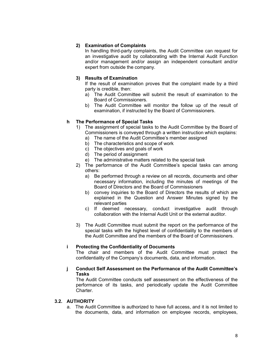## **2) Examination of Complaints**

In handling third-party complaints, the Audit Committee can request for an investigative audit by collaborating with the Internal Audit Function and/or management and/or assign an independent consultant and/or expert from outside the company.

## **3) Results of Examination**

If the result of examination proves that the complaint made by a third party is credible, then:

- a) The Audit Committee will submit the result of examination to the Board of Commissioners.
- b) The Audit Committee will monitor the follow up of the result of examination, if instructed by the Board of Commissioners.

## **h The Performance of Special Tasks**

- 1) The assignment of special tasks to the Audit Committee by the Board of Commissioners is conveyed through a written instruction which explains:
	- a) The name of the Audit Committee's member assigned
	- b) The characteristics and scope of work
	- c) The objectives and goals of work
	- d) The period of assignment
	- e) The administrative matters related to the special task
- 2) The performance of the Audit Committee's special tasks can among others:
	- a) Be performed through a review on all records, documents and other necessary information, including the minutes of meetings of the Board of Directors and the Board of Commissioners
	- b) convey inquiries to the Board of Directors the results of which are explained in the Question and Answer Minutes signed by the relevant parties
	- c) If deemed necessary, conduct investigative audit through collaboration with the Internal Audit Unit or the external auditor.
- 3) The Audit Committee must submit the report on the performance of the special tasks with the highest level of confidentiality to the members of the Audit Committee and the members of the Board of Commissioners.

### **i Protecting the Confidentiality of Documents**

The chair and members of the Audit Committee must protect the confidentiality of the Company's documents, data, and information.

### **j Conduct Self Assessment on the Performance of the Audit Committee's Tasks**

The Audit Committee conducts self assessment on the effectiveness of the performance of its tasks, and periodically update the Audit Committee Charter.

### **3.2. AUTHORITY**

a. The Audit Committee is authorized to have full access, and it is not limited to the documents, data, and information on employee records, employees,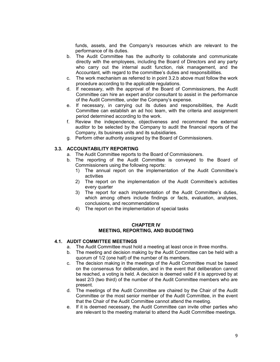funds, assets, and the Company's resources which are relevant to the performance of its duties.

- b. The Audit Committee has the authority to collaborate and communicate directly with the employees, including the Board of Directors and any party who carry out the internal audit function, risk management, and the Accountant, with regard to the committee's duties and responsibilities.
- c. The work mechanism as referred to in point 3.2.b above must follow the work procedure according to the applicable regulations.
- d. If necessary, with the approval of the Board of Commissioners, the Audit Committee can hire an expert and/or consultant to assist in the performance of the Audit Committee, under the Company's expense.
- e. If necessary, in carrying out its duties and responsibilities, the Audit Committee can establish an ad hoc team, with the criteria and assignment period determined according to the work.
- f. Review the independence, objectiveness and recommend the external auditor to be selected by the Company to audit the financial reports of the Company, its business units and its subsidiaries.
- g. Perform other authority assigned by the Board of Commissioners.

### **3.3. ACCOUNTABILITY REPORTING**

- a. The Audit Committee reports to the Board of Commissioners.
- b. The reporting of the Audit Committee is conveyed to the Board of Commissioners using the following reports:
	- 1) The annual report on the implementation of the Audit Committee's activities
	- 2) The report on the implementation of the Audit Committee's activities every quarter
	- 3) The report for each implementation of the Audit Committee's duties, which among others include findings or facts, evaluation, analyses, conclusions, and recommendations
	- 4) The report on the implementation of special tasks

#### **CHAPTER IV MEETING, REPORTING, AND BUDGETING**

## **4.1. AUDIT COMMITTEE MEETINGS**

- a. The Audit Committee must hold a meeting at least once in three months.
- b. The meeting and decision making by the Audit Committee can be held with a quorum of 1/2 (one half) of the number of its members.
- c. The decision making in the meetings of the Audit Committee must be based on the consensus for deliberation, and in the event that deliberation cannot be reached, a voting is held. A decision is deemed valid if it is approved by at least 2/3 (two third) of the number of the Audit Committee members who are present.
- d. The meetings of the Audit Committee are chaired by the Chair of the Audit Committee or the most senior member of the Audit Committee, in the event that the Chair of the Audit Committee cannot attend the meeting.
- e. If it is deemed necessary, the Audit Committee can invite other parties who are relevant to the meeting material to attend the Audit Committee meetings.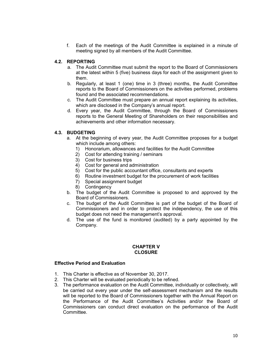f. Each of the meetings of the Audit Committee is explained in a minute of meeting signed by all members of the Audit Committee.

## **4.2. REPORTING**

- a. The Audit Committee must submit the report to the Board of Commissioners at the latest within 5 (five) business days for each of the assignment given to them.
- b. Regularly, at least 1 (one) time in 3 (three) months, the Audit Committee reports to the Board of Commissioners on the activities performed, problems found and the associated recommendations.
- c. The Audit Committee must prepare an annual report explaining its activities, which are disclosed in the Company's annual report.
- d. Every year, the Audit Committee, through the Board of Commissioners reports to the General Meeting of Shareholders on their responsibilities and achievements and other information necessary.

## **4.3. BUDGETING**

- a. At the beginning of every year, the Audit Committee proposes for a budget which include among others:
	- 1) Honorarium, allowances and facilities for the Audit Committee
	- 2) Cost for attending training / seminars
	- 3) Cost for business trips
	- 4) Cost for general and administration
	- 5) Cost for the public accountant office, consultants and experts
	- 6) Routine investment budget for the procurement of work facilities
	- 7) Special assignment budget
	- 8) Contingency
- b. The budget of the Audit Committee is proposed to and approved by the Board of Commissioners.
- c. The budget of the Audit Committee is part of the budget of the Board of Commissioners and in order to protect the independency, the use of this budget does not need the management's approval.
- d. The use of the fund is monitored (audited) by a party appointed by the Company.

### **CHAPTER V CLOSURE**

### **Effective Period and Evaluation**

- 1. This Charter is effective as of November 30, 2017.
- 2. This Charter will be evaluated periodically to be refined.
- 3. The performance evaluation on the Audit Committee, individually or collectively, will be carried out every year under the self-assessment mechanism and the results will be reported to the Board of Commissioners together with the Annual Report on the Performance of the Audit Committee's Activities and/or the Board of Commissioners can conduct direct evaluation on the performance of the Audit Committee.